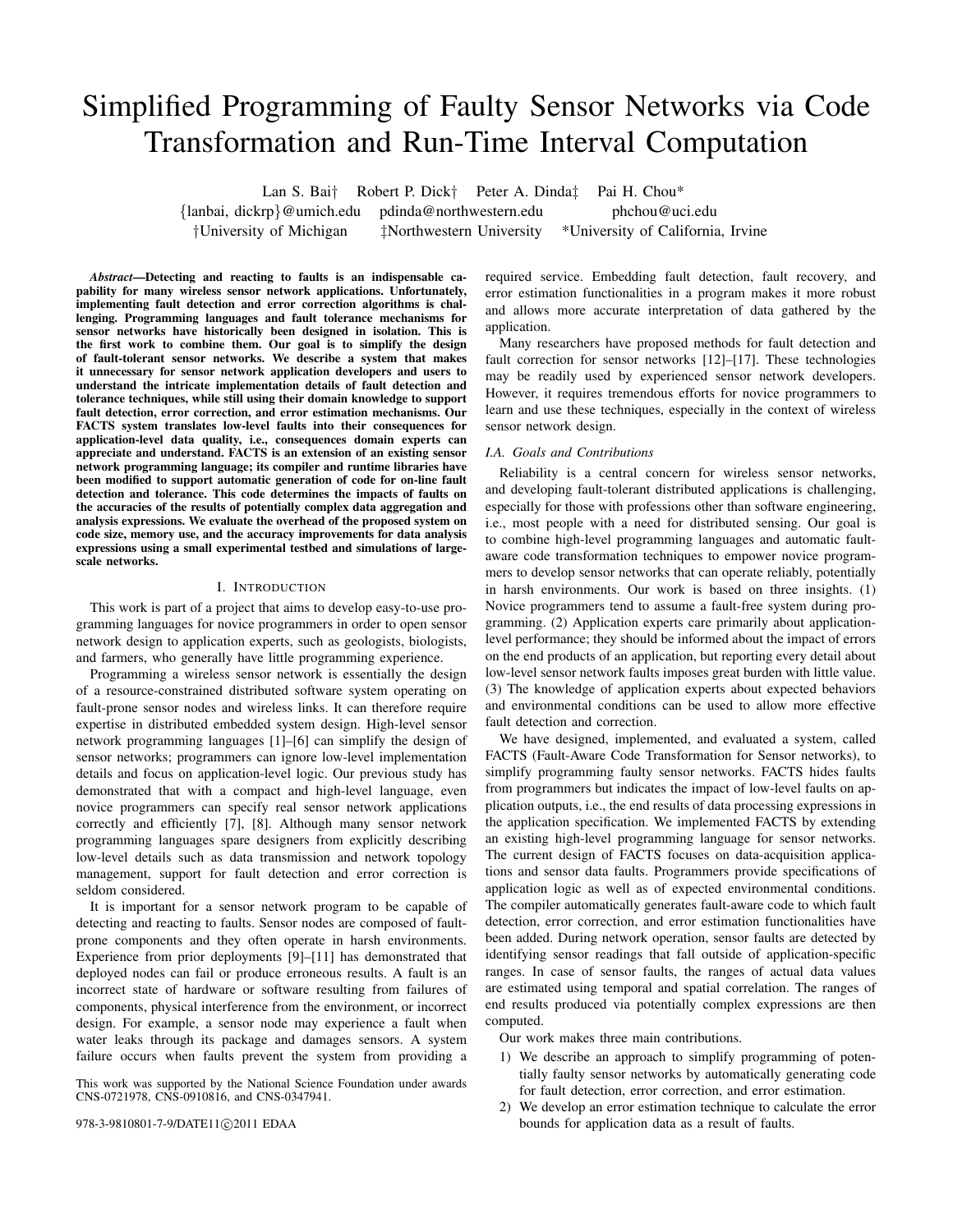# Simplified Programming of Faulty Sensor Networks via Code Transformation and Run-Time Interval Computation

Lan S. Bai† Robert P. Dick† Peter A. Dinda‡ Pai H. Chou\* {lanbai, dickrp}@umich.edu pdinda@northwestern.edu phchou@uci.edu †University of Michigan ‡Northwestern University \*University of California, Irvine

*Abstract*—Detecting and reacting to faults is an indispensable capability for many wireless sensor network applications. Unfortunately, implementing fault detection and error correction algorithms is challenging. Programming languages and fault tolerance mechanisms for sensor networks have historically been designed in isolation. This is the first work to combine them. Our goal is to simplify the design of fault-tolerant sensor networks. We describe a system that makes it unnecessary for sensor network application developers and users to understand the intricate implementation details of fault detection and tolerance techniques, while still using their domain knowledge to support fault detection, error correction, and error estimation mechanisms. Our FACTS system translates low-level faults into their consequences for application-level data quality, i.e., consequences domain experts can appreciate and understand. FACTS is an extension of an existing sensor network programming language; its compiler and runtime libraries have been modified to support automatic generation of code for on-line fault detection and tolerance. This code determines the impacts of faults on the accuracies of the results of potentially complex data aggregation and analysis expressions. We evaluate the overhead of the proposed system on code size, memory use, and the accuracy improvements for data analysis expressions using a small experimental testbed and simulations of largescale networks.

#### I. INTRODUCTION

This work is part of a project that aims to develop easy-to-use programming languages for novice programmers in order to open sensor network design to application experts, such as geologists, biologists, and farmers, who generally have little programming experience.

Programming a wireless sensor network is essentially the design of a resource-constrained distributed software system operating on fault-prone sensor nodes and wireless links. It can therefore require expertise in distributed embedded system design. High-level sensor network programming languages [1]–[6] can simplify the design of sensor networks; programmers can ignore low-level implementation details and focus on application-level logic. Our previous study has demonstrated that with a compact and high-level language, even novice programmers can specify real sensor network applications correctly and efficiently [7], [8]. Although many sensor network programming languages spare designers from explicitly describing low-level details such as data transmission and network topology management, support for fault detection and error correction is seldom considered.

It is important for a sensor network program to be capable of detecting and reacting to faults. Sensor nodes are composed of faultprone components and they often operate in harsh environments. Experience from prior deployments [9]–[11] has demonstrated that deployed nodes can fail or produce erroneous results. A fault is an incorrect state of hardware or software resulting from failures of components, physical interference from the environment, or incorrect design. For example, a sensor node may experience a fault when water leaks through its package and damages sensors. A system failure occurs when faults prevent the system from providing a

This work was supported by the National Science Foundation under awards CNS-0721978, CNS-0910816, and CNS-0347941.

978-3-9810801-7-9/DATE11@2011 EDAA

required service. Embedding fault detection, fault recovery, and error estimation functionalities in a program makes it more robust and allows more accurate interpretation of data gathered by the application.

Many researchers have proposed methods for fault detection and fault correction for sensor networks [12]–[17]. These technologies may be readily used by experienced sensor network developers. However, it requires tremendous efforts for novice programmers to learn and use these techniques, especially in the context of wireless sensor network design.

# *I.A. Goals and Contributions*

Reliability is a central concern for wireless sensor networks, and developing fault-tolerant distributed applications is challenging, especially for those with professions other than software engineering, i.e., most people with a need for distributed sensing. Our goal is to combine high-level programming languages and automatic faultaware code transformation techniques to empower novice programmers to develop sensor networks that can operate reliably, potentially in harsh environments. Our work is based on three insights. (1) Novice programmers tend to assume a fault-free system during programming. (2) Application experts care primarily about applicationlevel performance; they should be informed about the impact of errors on the end products of an application, but reporting every detail about low-level sensor network faults imposes great burden with little value. (3) The knowledge of application experts about expected behaviors and environmental conditions can be used to allow more effective fault detection and correction.

We have designed, implemented, and evaluated a system, called FACTS (Fault-Aware Code Transformation for Sensor networks), to simplify programming faulty sensor networks. FACTS hides faults from programmers but indicates the impact of low-level faults on application outputs, i.e., the end results of data processing expressions in the application specification. We implemented FACTS by extending an existing high-level programming language for sensor networks. The current design of FACTS focuses on data-acquisition applications and sensor data faults. Programmers provide specifications of application logic as well as of expected environmental conditions. The compiler automatically generates fault-aware code to which fault detection, error correction, and error estimation functionalities have been added. During network operation, sensor faults are detected by identifying sensor readings that fall outside of application-specific ranges. In case of sensor faults, the ranges of actual data values are estimated using temporal and spatial correlation. The ranges of end results produced via potentially complex expressions are then computed.

Our work makes three main contributions.

- 1) We describe an approach to simplify programming of potentially faulty sensor networks by automatically generating code for fault detection, error correction, and error estimation.
- 2) We develop an error estimation technique to calculate the error bounds for application data as a result of faults.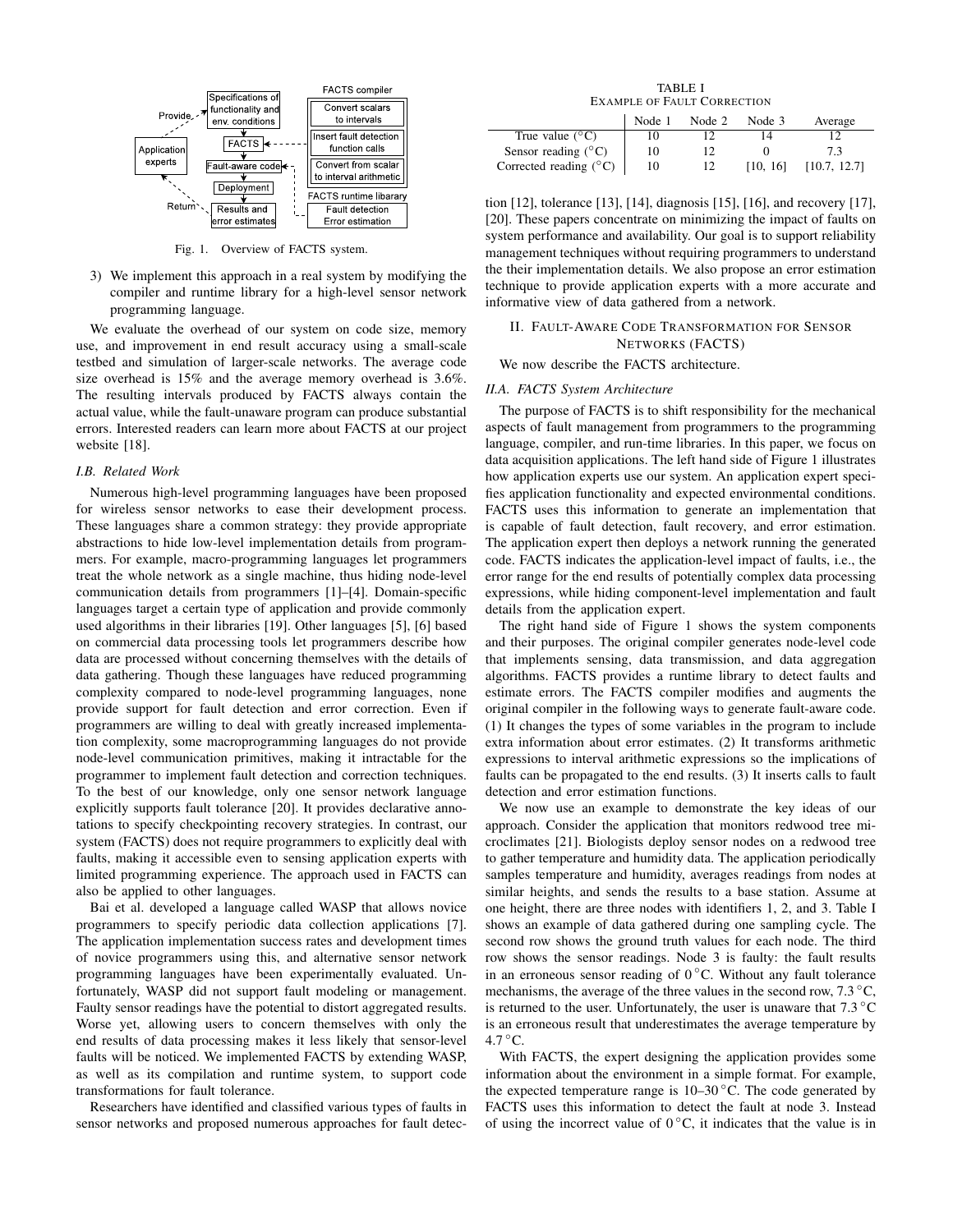

Fig. 1. Overview of FACTS system.

3) We implement this approach in a real system by modifying the compiler and runtime library for a high-level sensor network programming language.

We evaluate the overhead of our system on code size, memory use, and improvement in end result accuracy using a small-scale testbed and simulation of larger-scale networks. The average code size overhead is 15% and the average memory overhead is 3.6%. The resulting intervals produced by FACTS always contain the actual value, while the fault-unaware program can produce substantial errors. Interested readers can learn more about FACTS at our project website [18].

#### *I.B. Related Work*

Numerous high-level programming languages have been proposed for wireless sensor networks to ease their development process. These languages share a common strategy: they provide appropriate abstractions to hide low-level implementation details from programmers. For example, macro-programming languages let programmers treat the whole network as a single machine, thus hiding node-level communication details from programmers [1]–[4]. Domain-specific languages target a certain type of application and provide commonly used algorithms in their libraries [19]. Other languages [5], [6] based on commercial data processing tools let programmers describe how data are processed without concerning themselves with the details of data gathering. Though these languages have reduced programming complexity compared to node-level programming languages, none provide support for fault detection and error correction. Even if programmers are willing to deal with greatly increased implementation complexity, some macroprogramming languages do not provide node-level communication primitives, making it intractable for the programmer to implement fault detection and correction techniques. To the best of our knowledge, only one sensor network language explicitly supports fault tolerance [20]. It provides declarative annotations to specify checkpointing recovery strategies. In contrast, our system (FACTS) does not require programmers to explicitly deal with faults, making it accessible even to sensing application experts with limited programming experience. The approach used in FACTS can also be applied to other languages.

Bai et al. developed a language called WASP that allows novice programmers to specify periodic data collection applications [7]. The application implementation success rates and development times of novice programmers using this, and alternative sensor network programming languages have been experimentally evaluated. Unfortunately, WASP did not support fault modeling or management. Faulty sensor readings have the potential to distort aggregated results. Worse yet, allowing users to concern themselves with only the end results of data processing makes it less likely that sensor-level faults will be noticed. We implemented FACTS by extending WASP, as well as its compilation and runtime system, to support code transformations for fault tolerance.

Researchers have identified and classified various types of faults in sensor networks and proposed numerous approaches for fault detec-

TABLE I EXAMPLE OF FAULT CORRECTION

|                                 | Node 1 | Node 2 | Node 3   | Average      |
|---------------------------------|--------|--------|----------|--------------|
| True value $(^{\circ}C)$        | 10     |        |          |              |
| Sensor reading $(^{\circ}C)$    | 10     |        |          | 73           |
| Corrected reading $(^{\circ}C)$ | 10     | 12     | [10, 16] | [10.7, 12.7] |

tion [12], tolerance [13], [14], diagnosis [15], [16], and recovery [17], [20]. These papers concentrate on minimizing the impact of faults on system performance and availability. Our goal is to support reliability management techniques without requiring programmers to understand the their implementation details. We also propose an error estimation technique to provide application experts with a more accurate and informative view of data gathered from a network.

# II. FAULT-AWARE CODE TRANSFORMATION FOR SENSOR NETWORKS (FACTS)

We now describe the FACTS architecture.

#### *II.A. FACTS System Architecture*

The purpose of FACTS is to shift responsibility for the mechanical aspects of fault management from programmers to the programming language, compiler, and run-time libraries. In this paper, we focus on data acquisition applications. The left hand side of Figure 1 illustrates how application experts use our system. An application expert specifies application functionality and expected environmental conditions. FACTS uses this information to generate an implementation that is capable of fault detection, fault recovery, and error estimation. The application expert then deploys a network running the generated code. FACTS indicates the application-level impact of faults, i.e., the error range for the end results of potentially complex data processing expressions, while hiding component-level implementation and fault details from the application expert.

The right hand side of Figure 1 shows the system components and their purposes. The original compiler generates node-level code that implements sensing, data transmission, and data aggregation algorithms. FACTS provides a runtime library to detect faults and estimate errors. The FACTS compiler modifies and augments the original compiler in the following ways to generate fault-aware code. (1) It changes the types of some variables in the program to include extra information about error estimates. (2) It transforms arithmetic expressions to interval arithmetic expressions so the implications of faults can be propagated to the end results. (3) It inserts calls to fault detection and error estimation functions.

We now use an example to demonstrate the key ideas of our approach. Consider the application that monitors redwood tree microclimates [21]. Biologists deploy sensor nodes on a redwood tree to gather temperature and humidity data. The application periodically samples temperature and humidity, averages readings from nodes at similar heights, and sends the results to a base station. Assume at one height, there are three nodes with identifiers 1, 2, and 3. Table I shows an example of data gathered during one sampling cycle. The second row shows the ground truth values for each node. The third row shows the sensor readings. Node 3 is faulty: the fault results in an erroneous sensor reading of  $0^{\circ}$ C. Without any fault tolerance mechanisms, the average of the three values in the second row, 7.3 ◦C, is returned to the user. Unfortunately, the user is unaware that  $7.3\textdegree C$ is an erroneous result that underestimates the average temperature by  $4.7 \degree$ C.

With FACTS, the expert designing the application provides some information about the environment in a simple format. For example, the expected temperature range is  $10-30$  °C. The code generated by FACTS uses this information to detect the fault at node 3. Instead of using the incorrect value of  $0^{\circ}$ C, it indicates that the value is in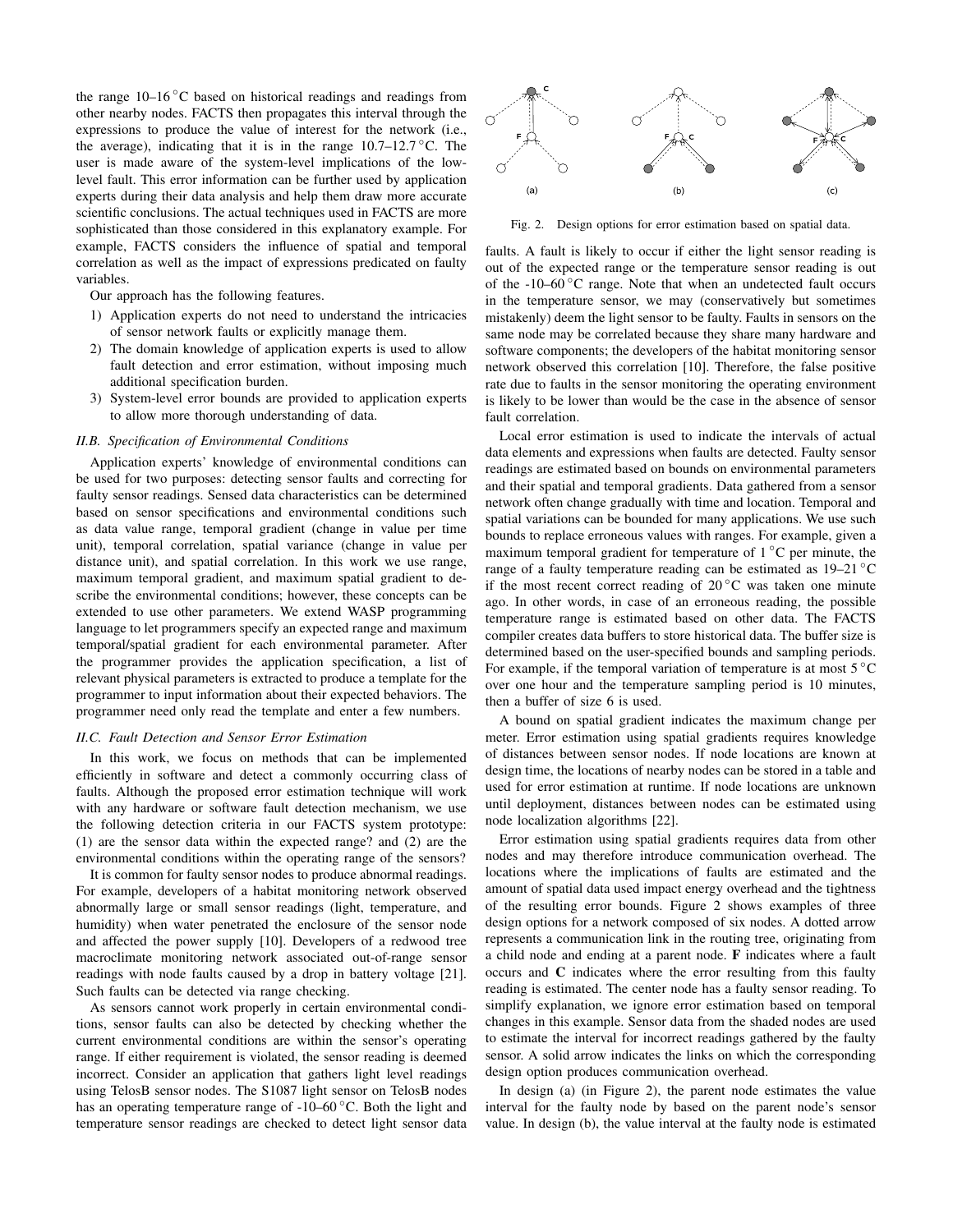the range  $10-16\degree C$  based on historical readings and readings from other nearby nodes. FACTS then propagates this interval through the expressions to produce the value of interest for the network (i.e., the average), indicating that it is in the range  $10.7-12.7\,^{\circ}\text{C}$ . The user is made aware of the system-level implications of the lowlevel fault. This error information can be further used by application experts during their data analysis and help them draw more accurate scientific conclusions. The actual techniques used in FACTS are more sophisticated than those considered in this explanatory example. For example, FACTS considers the influence of spatial and temporal correlation as well as the impact of expressions predicated on faulty variables.

Our approach has the following features.

- 1) Application experts do not need to understand the intricacies of sensor network faults or explicitly manage them.
- 2) The domain knowledge of application experts is used to allow fault detection and error estimation, without imposing much additional specification burden.
- 3) System-level error bounds are provided to application experts to allow more thorough understanding of data.

#### *II.B. Specification of Environmental Conditions*

Application experts' knowledge of environmental conditions can be used for two purposes: detecting sensor faults and correcting for faulty sensor readings. Sensed data characteristics can be determined based on sensor specifications and environmental conditions such as data value range, temporal gradient (change in value per time unit), temporal correlation, spatial variance (change in value per distance unit), and spatial correlation. In this work we use range, maximum temporal gradient, and maximum spatial gradient to describe the environmental conditions; however, these concepts can be extended to use other parameters. We extend WASP programming language to let programmers specify an expected range and maximum temporal/spatial gradient for each environmental parameter. After the programmer provides the application specification, a list of relevant physical parameters is extracted to produce a template for the programmer to input information about their expected behaviors. The programmer need only read the template and enter a few numbers.

#### *II.C. Fault Detection and Sensor Error Estimation*

In this work, we focus on methods that can be implemented efficiently in software and detect a commonly occurring class of faults. Although the proposed error estimation technique will work with any hardware or software fault detection mechanism, we use the following detection criteria in our FACTS system prototype: (1) are the sensor data within the expected range? and (2) are the environmental conditions within the operating range of the sensors?

It is common for faulty sensor nodes to produce abnormal readings. For example, developers of a habitat monitoring network observed abnormally large or small sensor readings (light, temperature, and humidity) when water penetrated the enclosure of the sensor node and affected the power supply [10]. Developers of a redwood tree macroclimate monitoring network associated out-of-range sensor readings with node faults caused by a drop in battery voltage [21]. Such faults can be detected via range checking.

As sensors cannot work properly in certain environmental conditions, sensor faults can also be detected by checking whether the current environmental conditions are within the sensor's operating range. If either requirement is violated, the sensor reading is deemed incorrect. Consider an application that gathers light level readings using TelosB sensor nodes. The S1087 light sensor on TelosB nodes has an operating temperature range of  $-10-60$  °C. Both the light and temperature sensor readings are checked to detect light sensor data



Fig. 2. Design options for error estimation based on spatial data.

faults. A fault is likely to occur if either the light sensor reading is out of the expected range or the temperature sensor reading is out of the -10–60 ◦C range. Note that when an undetected fault occurs in the temperature sensor, we may (conservatively but sometimes mistakenly) deem the light sensor to be faulty. Faults in sensors on the same node may be correlated because they share many hardware and software components; the developers of the habitat monitoring sensor network observed this correlation [10]. Therefore, the false positive rate due to faults in the sensor monitoring the operating environment is likely to be lower than would be the case in the absence of sensor fault correlation.

Local error estimation is used to indicate the intervals of actual data elements and expressions when faults are detected. Faulty sensor readings are estimated based on bounds on environmental parameters and their spatial and temporal gradients. Data gathered from a sensor network often change gradually with time and location. Temporal and spatial variations can be bounded for many applications. We use such bounds to replace erroneous values with ranges. For example, given a maximum temporal gradient for temperature of  $1^{\circ}$ C per minute, the range of a faulty temperature reading can be estimated as  $19-21\degree C$ if the most recent correct reading of  $20^{\circ}$ C was taken one minute ago. In other words, in case of an erroneous reading, the possible temperature range is estimated based on other data. The FACTS compiler creates data buffers to store historical data. The buffer size is determined based on the user-specified bounds and sampling periods. For example, if the temporal variation of temperature is at most  $5^{\circ}$ C over one hour and the temperature sampling period is 10 minutes, then a buffer of size 6 is used.

A bound on spatial gradient indicates the maximum change per meter. Error estimation using spatial gradients requires knowledge of distances between sensor nodes. If node locations are known at design time, the locations of nearby nodes can be stored in a table and used for error estimation at runtime. If node locations are unknown until deployment, distances between nodes can be estimated using node localization algorithms [22].

Error estimation using spatial gradients requires data from other nodes and may therefore introduce communication overhead. The locations where the implications of faults are estimated and the amount of spatial data used impact energy overhead and the tightness of the resulting error bounds. Figure 2 shows examples of three design options for a network composed of six nodes. A dotted arrow represents a communication link in the routing tree, originating from a child node and ending at a parent node. F indicates where a fault occurs and C indicates where the error resulting from this faulty reading is estimated. The center node has a faulty sensor reading. To simplify explanation, we ignore error estimation based on temporal changes in this example. Sensor data from the shaded nodes are used to estimate the interval for incorrect readings gathered by the faulty sensor. A solid arrow indicates the links on which the corresponding design option produces communication overhead.

In design (a) (in Figure 2), the parent node estimates the value interval for the faulty node by based on the parent node's sensor value. In design (b), the value interval at the faulty node is estimated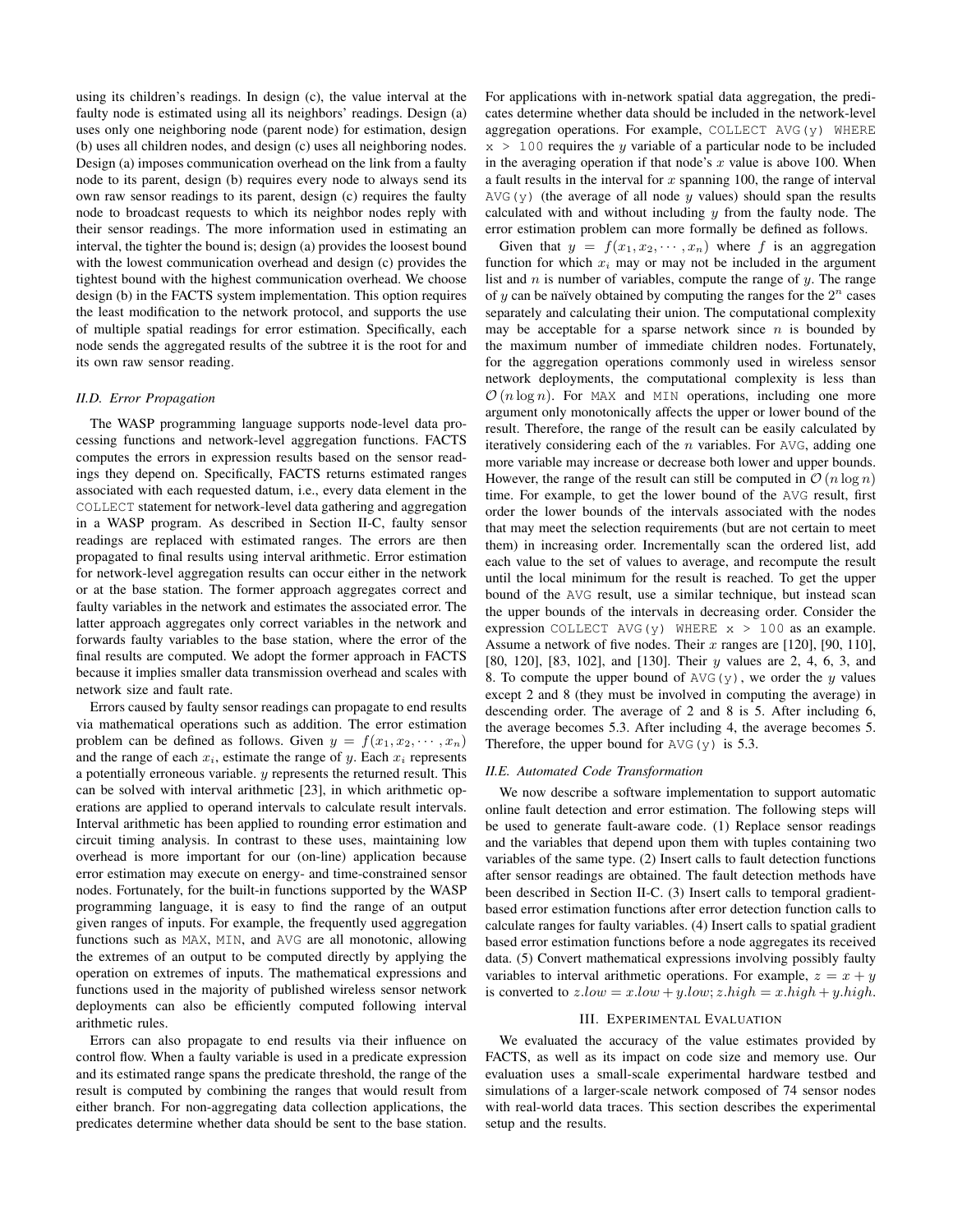using its children's readings. In design (c), the value interval at the faulty node is estimated using all its neighbors' readings. Design (a) uses only one neighboring node (parent node) for estimation, design (b) uses all children nodes, and design (c) uses all neighboring nodes. Design (a) imposes communication overhead on the link from a faulty node to its parent, design (b) requires every node to always send its own raw sensor readings to its parent, design (c) requires the faulty node to broadcast requests to which its neighbor nodes reply with their sensor readings. The more information used in estimating an interval, the tighter the bound is; design (a) provides the loosest bound with the lowest communication overhead and design (c) provides the tightest bound with the highest communication overhead. We choose design (b) in the FACTS system implementation. This option requires the least modification to the network protocol, and supports the use of multiple spatial readings for error estimation. Specifically, each node sends the aggregated results of the subtree it is the root for and its own raw sensor reading.

## *II.D. Error Propagation*

The WASP programming language supports node-level data processing functions and network-level aggregation functions. FACTS computes the errors in expression results based on the sensor readings they depend on. Specifically, FACTS returns estimated ranges associated with each requested datum, i.e., every data element in the COLLECT statement for network-level data gathering and aggregation in a WASP program. As described in Section II-C, faulty sensor readings are replaced with estimated ranges. The errors are then propagated to final results using interval arithmetic. Error estimation for network-level aggregation results can occur either in the network or at the base station. The former approach aggregates correct and faulty variables in the network and estimates the associated error. The latter approach aggregates only correct variables in the network and forwards faulty variables to the base station, where the error of the final results are computed. We adopt the former approach in FACTS because it implies smaller data transmission overhead and scales with network size and fault rate.

Errors caused by faulty sensor readings can propagate to end results via mathematical operations such as addition. The error estimation problem can be defined as follows. Given  $y = f(x_1, x_2, \dots, x_n)$ and the range of each  $x_i$ , estimate the range of y. Each  $x_i$  represents a potentially erroneous variable.  $y$  represents the returned result. This can be solved with interval arithmetic [23], in which arithmetic operations are applied to operand intervals to calculate result intervals. Interval arithmetic has been applied to rounding error estimation and circuit timing analysis. In contrast to these uses, maintaining low overhead is more important for our (on-line) application because error estimation may execute on energy- and time-constrained sensor nodes. Fortunately, for the built-in functions supported by the WASP programming language, it is easy to find the range of an output given ranges of inputs. For example, the frequently used aggregation functions such as MAX, MIN, and AVG are all monotonic, allowing the extremes of an output to be computed directly by applying the operation on extremes of inputs. The mathematical expressions and functions used in the majority of published wireless sensor network deployments can also be efficiently computed following interval arithmetic rules.

Errors can also propagate to end results via their influence on control flow. When a faulty variable is used in a predicate expression and its estimated range spans the predicate threshold, the range of the result is computed by combining the ranges that would result from either branch. For non-aggregating data collection applications, the predicates determine whether data should be sent to the base station.

For applications with in-network spatial data aggregation, the predicates determine whether data should be included in the network-level aggregation operations. For example, COLLECT AVG(y) WHERE  $x > 100$  requires the y variable of a particular node to be included in the averaging operation if that node's  $x$  value is above 100. When a fault results in the interval for  $x$  spanning 100, the range of interval  $AVG(y)$  (the average of all node y values) should span the results calculated with and without including  $y$  from the faulty node. The error estimation problem can more formally be defined as follows.

Given that  $y = f(x_1, x_2, \dots, x_n)$  where f is an aggregation function for which  $x_i$  may or may not be included in the argument list and  $n$  is number of variables, compute the range of  $y$ . The range of y can be naïvely obtained by computing the ranges for the  $2^n$  cases separately and calculating their union. The computational complexity may be acceptable for a sparse network since  $n$  is bounded by the maximum number of immediate children nodes. Fortunately, for the aggregation operations commonly used in wireless sensor network deployments, the computational complexity is less than  $\mathcal{O}(n \log n)$ . For MAX and MIN operations, including one more argument only monotonically affects the upper or lower bound of the result. Therefore, the range of the result can be easily calculated by iteratively considering each of the  $n$  variables. For AVG, adding one more variable may increase or decrease both lower and upper bounds. However, the range of the result can still be computed in  $\mathcal{O}(n \log n)$ time. For example, to get the lower bound of the AVG result, first order the lower bounds of the intervals associated with the nodes that may meet the selection requirements (but are not certain to meet them) in increasing order. Incrementally scan the ordered list, add each value to the set of values to average, and recompute the result until the local minimum for the result is reached. To get the upper bound of the AVG result, use a similar technique, but instead scan the upper bounds of the intervals in decreasing order. Consider the expression COLLECT AVG(y) WHERE  $x > 100$  as an example. Assume a network of five nodes. Their x ranges are [120], [90, 110], [80, 120], [83, 102], and [130]. Their y values are 2, 4, 6, 3, and 8. To compute the upper bound of  $AVG(y)$ , we order the y values except 2 and 8 (they must be involved in computing the average) in descending order. The average of 2 and 8 is 5. After including 6, the average becomes 5.3. After including 4, the average becomes 5. Therefore, the upper bound for  $AVG(y)$  is 5.3.

## *II.E. Automated Code Transformation*

We now describe a software implementation to support automatic online fault detection and error estimation. The following steps will be used to generate fault-aware code. (1) Replace sensor readings and the variables that depend upon them with tuples containing two variables of the same type. (2) Insert calls to fault detection functions after sensor readings are obtained. The fault detection methods have been described in Section II-C. (3) Insert calls to temporal gradientbased error estimation functions after error detection function calls to calculate ranges for faulty variables. (4) Insert calls to spatial gradient based error estimation functions before a node aggregates its received data. (5) Convert mathematical expressions involving possibly faulty variables to interval arithmetic operations. For example,  $z = x + y$ is converted to  $z, low = x, low + y, low; z, high = x, high + y, high.$ 

#### III. EXPERIMENTAL EVALUATION

We evaluated the accuracy of the value estimates provided by FACTS, as well as its impact on code size and memory use. Our evaluation uses a small-scale experimental hardware testbed and simulations of a larger-scale network composed of 74 sensor nodes with real-world data traces. This section describes the experimental setup and the results.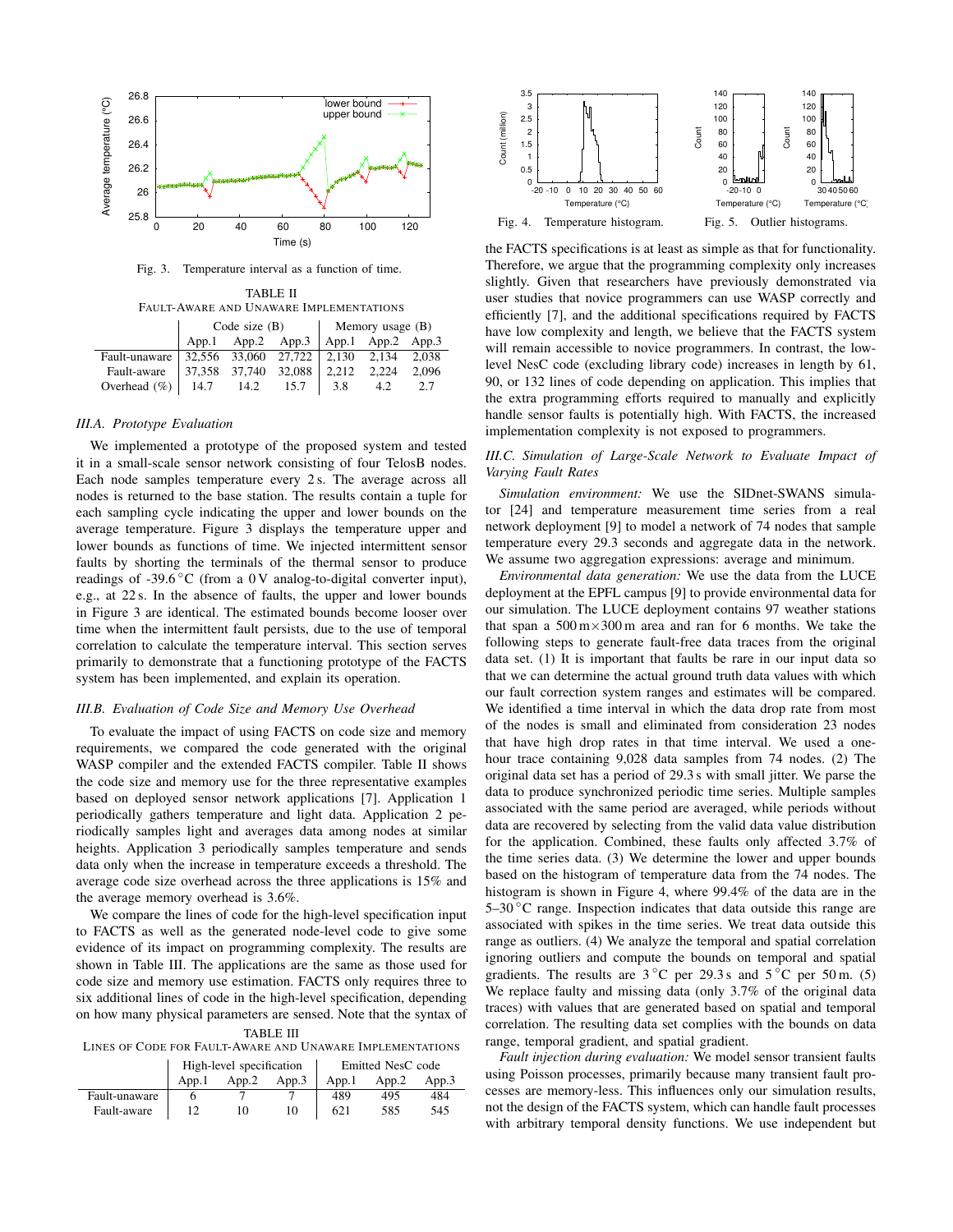

Fig. 3. Temperature interval as a function of time.

TABLE II FAULT-AWARE AND UNAWARE IMPLEMENTATIONS

|                                                                                                            | Code size $(B)$   Memory usage $(B)$ |  |                                       |  |  |  |
|------------------------------------------------------------------------------------------------------------|--------------------------------------|--|---------------------------------------|--|--|--|
|                                                                                                            |                                      |  | App.1 App.2 App.3   App.1 App.2 App.3 |  |  |  |
| Fault-unaware 32,556 33,060 27,722 2,130 2,134 2,038<br>Fault-aware 37,358 37,740 32,088 2,212 2,224 2,096 |                                      |  |                                       |  |  |  |
|                                                                                                            |                                      |  |                                       |  |  |  |
| Overhead (%)   14.7 14.2 15.7   3.8 4.2 2.7                                                                |                                      |  |                                       |  |  |  |

# *III.A. Prototype Evaluation*

We implemented a prototype of the proposed system and tested it in a small-scale sensor network consisting of four TelosB nodes. Each node samples temperature every 2 s. The average across all nodes is returned to the base station. The results contain a tuple for each sampling cycle indicating the upper and lower bounds on the average temperature. Figure 3 displays the temperature upper and lower bounds as functions of time. We injected intermittent sensor faults by shorting the terminals of the thermal sensor to produce readings of  $-39.6\,^{\circ}$ C (from a 0 V analog-to-digital converter input), e.g., at 22 s. In the absence of faults, the upper and lower bounds in Figure 3 are identical. The estimated bounds become looser over time when the intermittent fault persists, due to the use of temporal correlation to calculate the temperature interval. This section serves primarily to demonstrate that a functioning prototype of the FACTS system has been implemented, and explain its operation.

#### *III.B. Evaluation of Code Size and Memory Use Overhead*

To evaluate the impact of using FACTS on code size and memory requirements, we compared the code generated with the original WASP compiler and the extended FACTS compiler. Table II shows the code size and memory use for the three representative examples based on deployed sensor network applications [7]. Application 1 periodically gathers temperature and light data. Application 2 periodically samples light and averages data among nodes at similar heights. Application 3 periodically samples temperature and sends data only when the increase in temperature exceeds a threshold. The average code size overhead across the three applications is 15% and the average memory overhead is 3.6%.

We compare the lines of code for the high-level specification input to FACTS as well as the generated node-level code to give some evidence of its impact on programming complexity. The results are shown in Table III. The applications are the same as those used for code size and memory use estimation. FACTS only requires three to six additional lines of code in the high-level specification, depending on how many physical parameters are sensed. Note that the syntax of

# TABLE III

LINES OF CODE FOR FAULT-AWARE AND UNAWARE IMPLEMENTATIONS

|               | High-level specification |       |       | Emitted NesC code |       |       |
|---------------|--------------------------|-------|-------|-------------------|-------|-------|
|               | App.1                    | App.2 | App.3 | App.1             | App.2 | App.3 |
| Fault-unaware |                          |       |       | 489               | 495   | 484   |
| Fault-aware   |                          |       |       | 621               | 585   | 545   |



the FACTS specifications is at least as simple as that for functionality. Therefore, we argue that the programming complexity only increases slightly. Given that researchers have previously demonstrated via user studies that novice programmers can use WASP correctly and efficiently [7], and the additional specifications required by FACTS have low complexity and length, we believe that the FACTS system will remain accessible to novice programmers. In contrast, the lowlevel NesC code (excluding library code) increases in length by 61, 90, or 132 lines of code depending on application. This implies that the extra programming efforts required to manually and explicitly handle sensor faults is potentially high. With FACTS, the increased implementation complexity is not exposed to programmers.

# *III.C. Simulation of Large-Scale Network to Evaluate Impact of Varying Fault Rates*

*Simulation environment:* We use the SIDnet-SWANS simulator [24] and temperature measurement time series from a real network deployment [9] to model a network of 74 nodes that sample temperature every 29.3 seconds and aggregate data in the network. We assume two aggregation expressions: average and minimum.

*Environmental data generation:* We use the data from the LUCE deployment at the EPFL campus [9] to provide environmental data for our simulation. The LUCE deployment contains 97 weather stations that span a  $500 \text{ m} \times 300 \text{ m}$  area and ran for 6 months. We take the following steps to generate fault-free data traces from the original data set. (1) It is important that faults be rare in our input data so that we can determine the actual ground truth data values with which our fault correction system ranges and estimates will be compared. We identified a time interval in which the data drop rate from most of the nodes is small and eliminated from consideration 23 nodes that have high drop rates in that time interval. We used a onehour trace containing 9,028 data samples from 74 nodes. (2) The original data set has a period of 29.3 s with small jitter. We parse the data to produce synchronized periodic time series. Multiple samples associated with the same period are averaged, while periods without data are recovered by selecting from the valid data value distribution for the application. Combined, these faults only affected 3.7% of the time series data. (3) We determine the lower and upper bounds based on the histogram of temperature data from the 74 nodes. The histogram is shown in Figure 4, where 99.4% of the data are in the  $5-30\,^{\circ}\text{C}$  range. Inspection indicates that data outside this range are associated with spikes in the time series. We treat data outside this range as outliers. (4) We analyze the temporal and spatial correlation ignoring outliers and compute the bounds on temporal and spatial gradients. The results are  $3^{\circ}$ C per 29.3 s and  $5^{\circ}$ C per 50 m. (5) We replace faulty and missing data (only 3.7% of the original data traces) with values that are generated based on spatial and temporal correlation. The resulting data set complies with the bounds on data range, temporal gradient, and spatial gradient.

*Fault injection during evaluation:* We model sensor transient faults using Poisson processes, primarily because many transient fault processes are memory-less. This influences only our simulation results, not the design of the FACTS system, which can handle fault processes with arbitrary temporal density functions. We use independent but